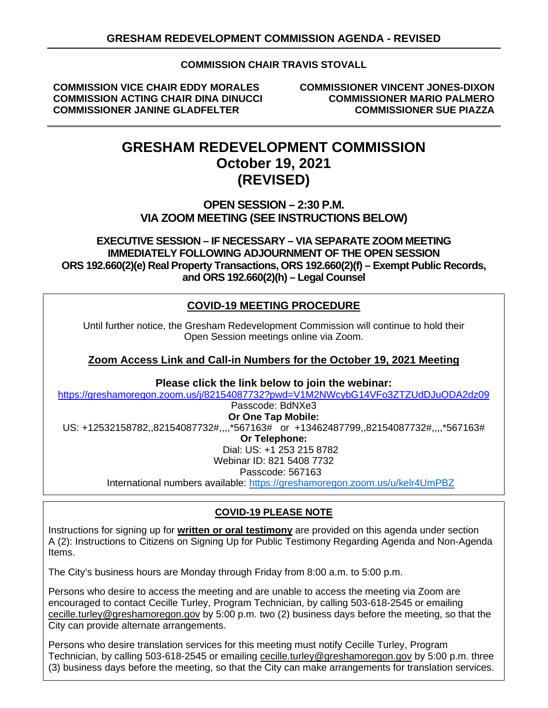### **COMMISSION CHAIR TRAVIS STOVALL**

**COMMISSION VICE CHAIR EDDY MORALES COMMISSIONER VINCENT JONES-DIXON COMMISSION ACTING CHAIR DINA DINUCCI COMMISSIONER MARIO PALMERO COMMISSIONER JANINE GLADFELTER** 

# **GRESHAM REDEVELOPMENT COMMISSION October 19, 2021 (REVISED)**

### **OPEN SESSION – 2:30 P.M. VIA ZOOM MEETING (SEE INSTRUCTIONS BELOW)**

### **EXECUTIVE SESSION – IF NECESSARY – VIA SEPARATE ZOOM MEETING IMMEDIATELY FOLLOWING ADJOURNMENT OF THE OPEN SESSION ORS 192.660(2)(e) Real Property Transactions, ORS 192.660(2)(f) – Exempt Public Records, and ORS 192.660(2)(h) – Legal Counsel**

## **COVID-19 MEETING PROCEDURE**

Until further notice, the Gresham Redevelopment Commission will continue to hold their Open Session meetings online via Zoom.

### **Zoom Access Link and Call-in Numbers for the October 19, 2021 Meeting**

**Please click the link below to join the webinar:**

<https://greshamoregon.zoom.us/j/82154087732?pwd=V1M2NWcybG14VFo3ZTZUdDJuODA2dz09>

Passcode: BdNXe3 **Or One Tap Mobile:** US: +12532158782,,82154087732#,,,,\*567163# or +13462487799,,82154087732#,,,,\*567163# **Or Telephone:** Dial: US: +1 253 215 8782 Webinar ID: 821 5408 7732 Passcode: 567163 International numbers available: <https://greshamoregon.zoom.us/u/kelr4UmPBZ>

### **COVID-19 PLEASE NOTE**

Instructions for signing up for **written or oral testimony** are provided on this agenda under section A (2): Instructions to Citizens on Signing Up for Public Testimony Regarding Agenda and Non-Agenda Items.

The City's business hours are Monday through Friday from 8:00 a.m. to 5:00 p.m.

Persons who desire to access the meeting and are unable to access the meeting via Zoom are encouraged to contact Cecille Turley, Program Technician, by calling 503-618-2545 or emailing [cecille.turley@greshamoregon.gov](mailto:cecille.turley@greshamoregon.gov) by 5:00 p.m. two (2) business days before the meeting, so that the City can provide alternate arrangements.

Persons who desire translation services for this meeting must notify Cecille Turley, Program Technician, by calling 503-618-2545 or emailing [cecille.turley@greshamoregon.gov](mailto:cecille.turley@greshamoregon.gov) by 5:00 p.m. three (3) business days before the meeting, so that the City can make arrangements for translation services.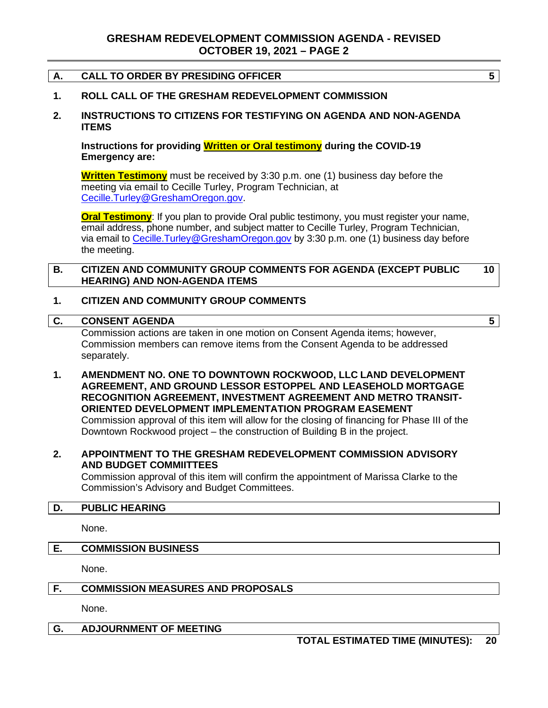#### **A. CALL TO ORDER BY PRESIDING OFFICER 5**

#### **1. ROLL CALL OF THE GRESHAM REDEVELOPMENT COMMISSION**

**2. INSTRUCTIONS TO CITIZENS FOR TESTIFYING ON AGENDA AND NON-AGENDA ITEMS**

**Instructions for providing Written or Oral testimony during the COVID-19 Emergency are:**

**Written Testimony** must be received by 3:30 p.m. one (1) business day before the meeting via email to Cecille Turley, Program Technician, at [Cecille.Turley@GreshamOregon.gov.](mailto:Cecille.Turley@GreshamOregon.gov)

**Oral Testimony**: If you plan to provide Oral public testimony, you must register your name, email address, phone number, and subject matter to Cecille Turley, Program Technician, via email to [Cecille.Turley@GreshamOregon.gov](mailto:Cecille.Turley@GreshamOregon.gov) by 3:30 p.m. one (1) business day before the meeting.

#### **B. CITIZEN AND COMMUNITY GROUP COMMENTS FOR AGENDA (EXCEPT PUBLIC HEARING) AND NON-AGENDA ITEMS 10**

#### **1. CITIZEN AND COMMUNITY GROUP COMMENTS**

#### **C. CONSENT AGENDA 5**

Commission actions are taken in one motion on Consent Agenda items; however, Commission members can remove items from the Consent Agenda to be addressed separately.

**1. AMENDMENT NO. ONE TO DOWNTOWN ROCKWOOD, LLC LAND DEVELOPMENT AGREEMENT, AND GROUND LESSOR ESTOPPEL AND LEASEHOLD MORTGAGE RECOGNITION AGREEMENT, INVESTMENT AGREEMENT AND METRO TRANSIT-ORIENTED DEVELOPMENT IMPLEMENTATION PROGRAM EASEMENT** Commission approval of this item will allow for the closing of financing for Phase III of the Downtown Rockwood project – the construction of Building B in the project.

#### **2. APPOINTMENT TO THE GRESHAM REDEVELOPMENT COMMISSION ADVISORY AND BUDGET COMMIITTEES**

Commission approval of this item will confirm the appointment of Marissa Clarke to the Commission's Advisory and Budget Committees.

#### **D. PUBLIC HEARING**

None.

#### **E. COMMISSION BUSINESS**

None.

#### **F. COMMISSION MEASURES AND PROPOSALS**

None.

#### **G. ADJOURNMENT OF MEETING**